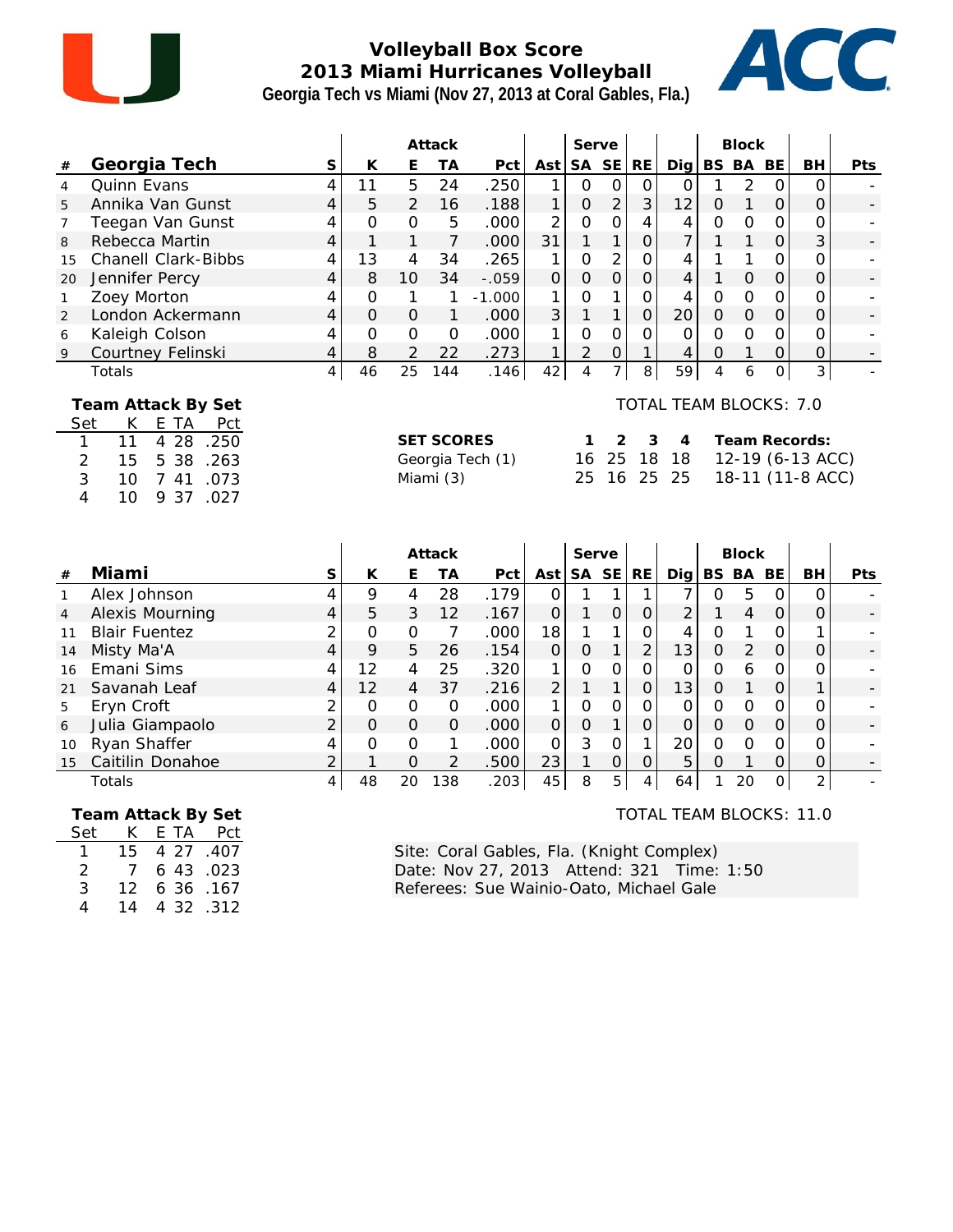

## **Volleyball Box Score 2013 Miami Hurricanes Volleyball Georgia Tech vs Miami (Nov 27, 2013 at Coral Gables, Fla.)**



|                |                                                                                                                                                                                                 |                |               |                | Attack                         |                  |                |                | Serve          |                |                                         |                | <b>Block</b>        |                |                                                       |     |
|----------------|-------------------------------------------------------------------------------------------------------------------------------------------------------------------------------------------------|----------------|---------------|----------------|--------------------------------|------------------|----------------|----------------|----------------|----------------|-----------------------------------------|----------------|---------------------|----------------|-------------------------------------------------------|-----|
| $\#$           | Georgia Tech                                                                                                                                                                                    | S              | К             | Ε              | <b>TA</b>                      | Pct              | Ast            | SA SE          |                | RE             | Dig                                     |                | BS BA               | <b>BE</b>      | BH                                                    | Pts |
| 4              | <b>Quinn Evans</b>                                                                                                                                                                              | 4              | 11            | 5              | 24                             | .250             | 1              | $\Omega$       | $\Omega$       | 0              | 0                                       |                | $\overline{2}$      | $\Omega$       | $\Omega$                                              |     |
| 5              | Annika Van Gunst                                                                                                                                                                                | 4              | 5             | $\overline{2}$ | 16                             | .188             | $\mathbf{1}$   | $\overline{O}$ | $\overline{2}$ | 3              | 12                                      | $\mathbf 0$    | 1                   | $\overline{O}$ | $\overline{O}$                                        |     |
| 7              | Teegan Van Gunst                                                                                                                                                                                | 4              | 0             | $\overline{O}$ | 5                              | .000             | $\overline{2}$ | $\mathbf 0$    | $\overline{O}$ | 4              | 4                                       | $\mathbf 0$    | $\mathbf 0$         | $\mathbf 0$    | 0                                                     |     |
| 8              | Rebecca Martin                                                                                                                                                                                  | $\overline{4}$ | $\mathbf{1}$  | 1              | $\overline{7}$                 | .000             | 31             | $\mathbf{1}$   | 1              | $\overline{O}$ | 7                                       | 1              | 1                   | $\overline{O}$ | 3                                                     |     |
| 15             | <b>Chanell Clark-Bibbs</b>                                                                                                                                                                      | 4              | 13            | 4              | 34                             | .265             | 1              | $\overline{O}$ | $\overline{2}$ | $\Omega$       | 4                                       | 1              | 1                   | $\Omega$       | $\overline{O}$                                        |     |
| 20             | Jennifer Percy                                                                                                                                                                                  | 4              | 8             | 10             | 34                             | $-.059$          | 0              | $\overline{O}$ | $\overline{O}$ | $\mathsf{O}$   | 4                                       | 1              | $\mathsf{O}\xspace$ | $\mathbf 0$    | 0                                                     |     |
| 1              | Zoey Morton                                                                                                                                                                                     | 4              | $\mathbf 0$   | 1              | 1                              | $-1.000$         | 1              | $\overline{O}$ | 1              | $\mathbf{O}$   | 4                                       | $\overline{O}$ | $\overline{O}$      | $\mathbf 0$    | $\overline{O}$                                        |     |
| 2              | London Ackermann                                                                                                                                                                                | 4              | $\Omega$      | 0              | 1                              | .000             | 3              | $\mathbf{1}$   | 1              | $\overline{O}$ | 20                                      | $\overline{O}$ | $\overline{O}$      | $\mathbf 0$    | 0                                                     |     |
| 6              | Kaleigh Colson                                                                                                                                                                                  | 4              | $\Omega$      | $\overline{O}$ | $\overline{O}$                 | .000             | 1              | $\overline{O}$ | $\Omega$       | $\Omega$       | 0                                       | $\Omega$       | $\Omega$            | 0              | 0                                                     |     |
| $\overline{9}$ | Courtney Felinski                                                                                                                                                                               | 4              | 8             | $\overline{2}$ | 22                             | .273             | 1              | $\overline{2}$ | $\overline{O}$ | 1              | 4                                       | $\Omega$       | 1                   | $\overline{O}$ | 0                                                     |     |
|                | Totals                                                                                                                                                                                          | 4              | 46            | 25             | 144                            | .146             | 42             | $\overline{4}$ | $\overline{7}$ | 8              | 59                                      | $\overline{4}$ | 6                   | $\overline{O}$ | $\overline{3}$                                        |     |
|                | Team Attack By Set<br>Set<br>K<br>E TA<br>Pct<br>11<br>28<br>1<br>$\overline{4}$<br>.250<br>2<br>15<br>5<br>38<br>.263<br>3<br>41<br>.073<br>10<br>$\overline{7}$<br>10<br>37<br>.027<br>4<br>9 |                |               |                | <b>SET SCORES</b><br>Miami (3) | Georgia Tech (1) |                | 1<br>16<br>25  | 2<br>25<br>16  | 3<br>18<br>25  | TOTAL TEAM BLOCKS: 7.0<br>4<br>18<br>25 |                |                     |                | Team Records:<br>12-19 (6-13 ACC)<br>18-11 (11-8 ACC) |     |
|                |                                                                                                                                                                                                 |                |               |                | Attack                         |                  |                |                | Serve          |                |                                         |                | <b>Block</b>        |                |                                                       |     |
| #              | Miami                                                                                                                                                                                           | $\mathsf S$    | К             | Ε              | ТA                             | Pct              | Ast            | <b>SA</b>      | <b>SE</b>      | RE             | Digit                                   |                | BS BA BE            |                | BH                                                    | Pts |
| $\mathbf{1}$   | Alex Johnson                                                                                                                                                                                    | 4              | 9             | 4              | 28                             | .179             | $\overline{0}$ | 1              | 1              | $\mathbf{1}$   | 7                                       | 0              | 5                   | $\mathbf 0$    | $\overline{O}$                                        |     |
| 4              | Alexis Mourning                                                                                                                                                                                 | 4              | 5             | 3              | 12                             | .167             | 0              | 1              | $\overline{O}$ | $\mathbf 0$    | $\overline{2}$                          | 1              | $\overline{4}$      | $\overline{O}$ | $\mathcal{O}$                                         |     |
| 11             | <b>Blair Fuentez</b>                                                                                                                                                                            | 2              | $\mathbf 0$   | $\mathbf 0$    | 7                              | .000             | 18             | 1              | 1              | $\mathbf{O}$   | 4                                       | 0              | 1                   | 0              | 1                                                     |     |
| 14             | Misty Ma'A                                                                                                                                                                                      | 4              | 9             | 5              | 26                             | .154             | $\overline{O}$ | $\overline{O}$ | $\mathbf{1}$   | $\overline{2}$ | 13                                      | $\mathbf 0$    | $\overline{2}$      | $\mathbf 0$    | $\overline{O}$                                        |     |
| 16             | Emani Sims                                                                                                                                                                                      | 4              | 12            | 4              | 25                             | .320             | 1              | $\overline{O}$ | $\overline{O}$ | $\mathbf{O}$   | 0                                       | 0              | 6                   | $\mathbf{O}$   | 0                                                     |     |
| 21             | Savanah Leaf                                                                                                                                                                                    | 4              | 12            | 4              | 37                             | .216             | $\overline{2}$ | 1              | $\mathbf{1}$   | $\mathsf{O}$   | 13                                      | $\mathbf 0$    | $\mathbf{1}$        | $\mathbf 0$    | 1                                                     |     |
| 5              | Eryn Croft                                                                                                                                                                                      | 2              | $\mathcal{O}$ | $\mathbf 0$    | $\mathbf 0$                    | .000             | 1              | $\mathbf 0$    | $\mathcal{O}$  | 0              | 0                                       | 0              | 0                   | 0              | 0                                                     |     |
| 6              | Julia Giampaolo                                                                                                                                                                                 | $\overline{2}$ | $\Omega$      | 0              | $\overline{O}$                 | 000              | $\overline{O}$ | $\overline{O}$ | $\mathbf{1}$   | $\overline{O}$ | 0                                       | $\Omega$       | 0                   | $\overline{O}$ | O                                                     |     |

|      | ~                    |   |    |    |     |      |    |   |   |   |     |    |         |   |                |
|------|----------------------|---|----|----|-----|------|----|---|---|---|-----|----|---------|---|----------------|
| 11   | <b>Blair Fuentez</b> |   | O  |    |     | .000 | 18 |   |   |   |     |    |         |   |                |
| 14   | Misty Ma'A           | 4 | 9  | ხ  | 26  | .154 |    |   |   |   | 3   |    |         | 0 | $\overline{a}$ |
|      | 16 Emani Sims        |   | 12 | 4  | 25  | .320 |    |   |   |   |     | n  |         | 0 |                |
| 21 - | Savanah Leaf         | 4 | 12 | 4  | 37  | .216 |    |   |   |   | 13. |    |         |   | -              |
| 5    | Eryn Croft           |   | 0  |    | O   | .000 |    |   |   |   |     |    |         | 0 |                |
| 6    | Julia Giampaolo      |   | Ο  | 0  | O   | .000 |    |   |   |   |     |    |         | 0 | -              |
| 10   | Ryan Shaffer         |   | ი  |    |     | .000 |    |   |   |   |     |    |         | 0 |                |
| 15   | Caitilin Donahoe     | ⌒ |    | 0  |     | .500 | 23 |   |   |   | 5   |    |         | 0 | -              |
|      | Totals               | 4 | 48 | 20 | 138 | .203 | 45 | 8 | 5 | 4 | 64  | 20 | $\circ$ | 2 |                |
|      |                      |   |    |    |     |      |    |   |   |   |     |    |         |   |                |

|     | Team Attack By Set |  |
|-----|--------------------|--|
| Set | K F TA Prt         |  |

| Set          | K.              | – Pct<br>F TA |  |
|--------------|-----------------|---------------|--|
| $\mathbf{1}$ | 15.             | 4 27 .407     |  |
| 2            | 7 <sup>7</sup>  | 6 43 .023     |  |
| 3            | 12 <sup>7</sup> | 6 36 .167     |  |
| 4            | 14              | 432312        |  |

TOTAL TEAM BLOCKS: 11.0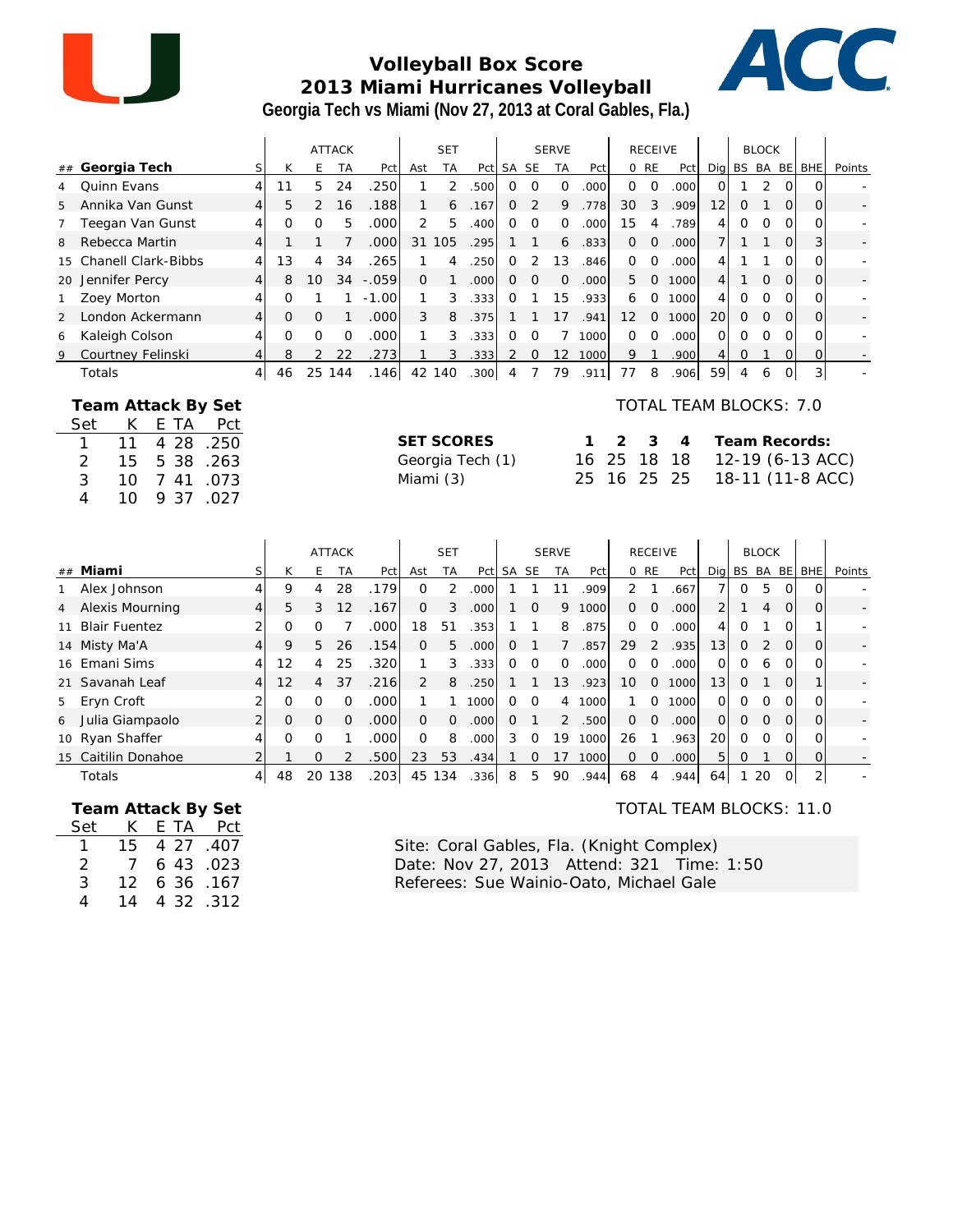

#### **Volleyball Box Score 2013 Miami Hurricanes Volleyball Georgia Tech vs Miami (Nov 27, 2013 at Coral Gables, Fla.)**



|    |                        |                |    |               | <b>ATTACK</b> |                   |          | <b>SET</b> |      |       |          | <b>SERVE</b> |                   |                   | <b>RECEIVE</b> |                   |                 |              | <b>BLOCK</b> |          |              |        |
|----|------------------------|----------------|----|---------------|---------------|-------------------|----------|------------|------|-------|----------|--------------|-------------------|-------------------|----------------|-------------------|-----------------|--------------|--------------|----------|--------------|--------|
|    | ## Georgia Tech        |                | К  | E.            | <b>TA</b>     | Pct               | Ast      | <b>TA</b>  | Pct  | SA SE |          | <b>TA</b>    | Pct               |                   | 0 RE           | Pct               |                 | Dig BS BA BE |              |          | <b>BHE</b>   | Points |
|    | Quinn Evans            | 4              |    | 5.            | 24            | 250               |          | 2          | .500 | O.    | Ω        | 0            | .000              | $\Omega$          | $\Omega$       | .000              | Ωl              |              | 2            | ΩI       |              |        |
| 5  | Annika Van Gunst       | 4 <sup>1</sup> | 5  | $\mathcal{P}$ | 16            | .188              |          | 6          | .167 | 0     | 2        | 9            | .778              | 30                | 3              | .909              | 12 <sub>l</sub> | $\Omega$     |              | $\Omega$ | $\Omega$     |        |
|    | Teegan Van Gunst       | 4              | Ω  | $\Omega$      | 5             | .000 <sub>1</sub> | 2        | 5          | .400 | ∩     | 0        | $\Omega$     | .000              | 15                | 4              | 789               | 4               | Ω            | $\Omega$     | $\Omega$ | 0            |        |
| 8  | Rebecca Martin         | $\vert$        |    |               |               | .000              | 31       | 105        | .295 |       |          | 6            | .833              | $\Omega$          | $\Omega$       | .000              |                 |              |              | $\Omega$ |              |        |
|    | 15 Chanell Clark-Bibbs | $\frac{4}{ }$  | 13 | 4             | 34            | .265              |          | 4          | 250  |       |          | 13           | .846              | $\Omega$          | $\Omega$       | .000 <sub>l</sub> | 4               |              |              | O        | $\Omega_{1}$ |        |
| 20 | Jennifer Percy         | $\vert$        | 8  | 10            | 34            | $-.059$           | $\Omega$ |            | .000 | 0     | $\Omega$ | $\Omega$     | .000 <sub>1</sub> | 5                 | $\Omega$       | 1000              | 4               |              | $\Omega$     | $\Omega$ | $\Omega$     |        |
|    | Zoey Morton            | 4              | Ω  |               |               | $-1.00$           |          | 3          | .333 |       |          | 15           | .933              | 6                 | $\Omega$       | 1000              | 41              | Ω            | $\Omega$     | $\Omega$ | $\Omega$     |        |
| 2  | London Ackermann       | $\vert$        | O  | $\Omega$      |               | .000 <sub>1</sub> | 3        | 8          | .375 |       |          | 17           | .941              | $12 \overline{ }$ | $\Omega$       | 1000              | 20              | $\Omega$     | $\Omega$     | $\Omega$ | $\Omega$     |        |
| 6  | Kaleigh Colson         | 4              | ∩  | 0             |               | .000              |          | 3          | .333 |       |          |              | 1000              | $\Omega$          | $\Omega$       | .000 <sub>l</sub> | ΩI              | Ω            | $\Omega$     | ∩∣       | $\Omega_{1}$ |        |
| 9  | Courtney Felinski      | $\frac{4}{ }$  | 8  | $\mathcal{P}$ | 22            | 273               |          | 3          | .333 |       | $\Omega$ | 12           | 1000              | 9                 |                | 900               | 41              | Ω            |              | ΩI       |              |        |
|    | Totals                 | 41             | 46 | 25            | 144           | .1461             | 42       | 140        | .300 | 4     |          | 79           | .911              | 77                | 8              | .9061             | 59              | 4            | 6            | ΩI       | 3            |        |

|     |    | Team Attack By Set |      |
|-----|----|--------------------|------|
| Set | K. | E TA               | Pct  |
|     | 11 | 4 28 .250          |      |
| 2   | 15 | 5 38               | .263 |
| 3   | 10 | 7 41               | .073 |
| Δ   | 10 | 9 37               | .027 |

#### TOTAL TEAM BLOCKS: 7.0

| <b>SET SCORES</b> |  |  | 1 2 3 4 Team Records:        |
|-------------------|--|--|------------------------------|
| Georgia Tech (1)  |  |  | 16 25 18 18 12-19 (6-13 ACC) |
| Miami (3)         |  |  | 25 16 25 25 18-11 (11-8 ACC) |

|                |                     |                |          |          | <b>ATTACK</b> |                   |                | <b>SET</b> |                   |       |          | <b>SERVE</b> |      |                 | <b>RECEIVE</b> |       |                 |              | <b>BLOCK</b> |          |            |        |
|----------------|---------------------|----------------|----------|----------|---------------|-------------------|----------------|------------|-------------------|-------|----------|--------------|------|-----------------|----------------|-------|-----------------|--------------|--------------|----------|------------|--------|
|                | ## Miami            | S              | Κ        | F.       | ТA            | Pct               | Ast            | TA         | Pct               | SA SE |          | <b>TA</b>    | Pct  |                 | 0 RE           | Pct   |                 | Dig BS BA BE |              |          | <b>BHE</b> | Points |
|                | Alex Johnson        | 4              | 9        | 4        | 28            | .179              | 0              | 2          | .000              |       |          |              | .909 | 2               |                | .667  |                 | 0            | 5            |          | $\Omega$   |        |
| $\overline{4}$ | Alexis Mourning     | 4 <sup>1</sup> | 5        | 3        | 12            | .167              | 0              | 3          | .000 <sub>l</sub> |       | $\Omega$ | 9            | 1000 | $\Omega$        | $\Omega$       | .0001 | $\overline{2}$  |              | 4            | $\Omega$ | 0          |        |
|                | 11 Blair Fuentez    |                | O        |          |               | .000 <sub>l</sub> | 18             | 51         | .353              |       |          | 8            | .875 | $\Omega$        | 0              | .000  |                 | Ω            |              |          |            |        |
|                | 14 Misty Ma'A       | 4 <sup>1</sup> | 9        | 5.       | 26            | .154              | $\Omega$       | 5          | .000 <sub>l</sub> | 0     |          |              | .857 | 29              | 2              | .935  | 13 <sup>1</sup> | $\Omega$     | 2            | $\Omega$ | $\Omega$   |        |
|                | 16 Emani Sims       | $\frac{4}{ }$  | 12       | 4        | 25            | .320              |                | 3          | .333              | 0     | $\Omega$ | $\Omega$     | .000 | $\Omega$        | $\Omega$       | .000  | $\Omega$        | $\Omega$     | 6            |          | Ω          |        |
|                | 21 Savanah Leaf     | 4 <sup>1</sup> | 12       | 4        | 37            | .216              | 2              | 8          | .250              |       |          | 13           | .923 | 10 <sup>°</sup> | $\Omega$       | 1000  | 13 <sup>1</sup> | $\Omega$     |              | $\Omega$ |            |        |
|                | 5 Eryn Croft        | $\overline{2}$ | O        | O        | ∩             | .000 <sub>l</sub> |                |            | 1000              | O     | $\Omega$ | 4            | 1000 |                 | O              | 1000  | $\Omega$        | 0            | $\Omega$     |          | O          |        |
| 6              | Julia Giampaolo     | $\overline{2}$ | $\Omega$ | $\Omega$ | $\Omega$      | .000 <sub>1</sub> | $\overline{0}$ | $\Omega$   | .000              | 0     |          | 2            | .500 | $\Omega$        | $\Omega$       | .000  | $\Omega$        | 0            | $\Omega$     | $\Omega$ | $\Omega$   |        |
|                | 10 Ryan Shaffer     | $\frac{4}{ }$  | 0        | O        |               | .000              | $\Omega$       | 8          | .000              | 3     | $\Omega$ | 19           | 1000 | 26              |                | .963  | <b>20</b>       | $\Omega$     | 0            |          | O          |        |
|                | 15 Caitilin Donahoe |                |          | Ω        |               | .500              | 23             | 53         | .434              |       |          |              | 1000 | $\Omega$        | 0              | .000  | 51              | 0            |              |          | Ω          |        |
|                | Totals              | $\vert$        | 48       | 20       | 138           | .203              | 45             | 134        | .336              | 8     | 5        | 90           | .944 | 68              | 4              | .944  | 64              |              | 20           |          | 2          |        |

 **Team Attack By Set**

| Set           | K.              | E TA      | Pct |
|---------------|-----------------|-----------|-----|
|               | 15.             | 4 27 .407 |     |
| $\mathcal{P}$ | 7               | 6 43 .023 |     |
| 3             | 12 <sup>7</sup> | 6 36 .167 |     |
| 4             | 14              | 4 32 .312 |     |

TOTAL TEAM BLOCKS: 11.0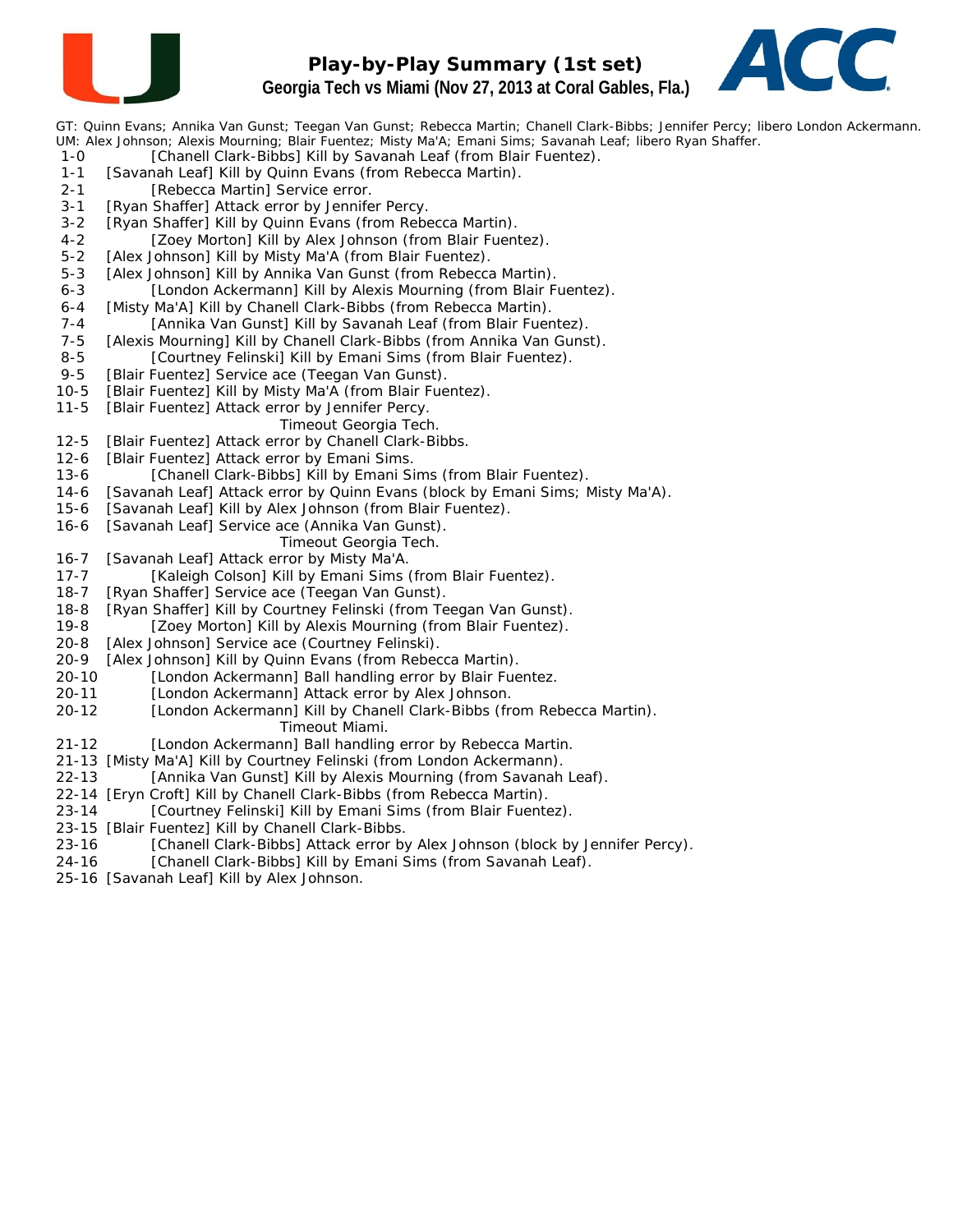

# **Play-by-Play Summary (1st set) Georgia Tech vs Miami (Nov 27, 2013 at Coral Gables, Fla.)**



GT: Quinn Evans; Annika Van Gunst; Teegan Van Gunst; Rebecca Martin; Chanell Clark-Bibbs; Jennifer Percy; libero London Ackermann. UM: Alex Johnson; Alexis Mourning; Blair Fuentez; Misty Ma'A; Emani Sims; Savanah Leaf; libero Ryan Shaffer.

- 1-0 [Chanell Clark-Bibbs] Kill by Savanah Leaf (from Blair Fuentez).
- 1-1 [Savanah Leaf] Kill by Quinn Evans (from Rebecca Martin).
- 2-1 [Rebecca Martin] Service error.
- 3-1 [Ryan Shaffer] Attack error by Jennifer Percy.
- 3-2 [Ryan Shaffer] Kill by Quinn Evans (from Rebecca Martin).
- 4-2 [Zoey Morton] Kill by Alex Johnson (from Blair Fuentez).
- 5-2 [Alex Johnson] Kill by Misty Ma'A (from Blair Fuentez).
- 5-3 [Alex Johnson] Kill by Annika Van Gunst (from Rebecca Martin).
- 6-3 [London Ackermann] Kill by Alexis Mourning (from Blair Fuentez).
- 6-4 [Misty Ma'A] Kill by Chanell Clark-Bibbs (from Rebecca Martin).
- 7-4 [Annika Van Gunst] Kill by Savanah Leaf (from Blair Fuentez).
- 7-5 [Alexis Mourning] Kill by Chanell Clark-Bibbs (from Annika Van Gunst).
- 8-5 [Courtney Felinski] Kill by Emani Sims (from Blair Fuentez).
- 9-5 [Blair Fuentez] Service ace (Teegan Van Gunst).
- 10-5 [Blair Fuentez] Kill by Misty Ma'A (from Blair Fuentez).
- 11-5 [Blair Fuentez] Attack error by Jennifer Percy.
	- *Timeout Georgia Tech.*
- 12-5 [Blair Fuentez] Attack error by Chanell Clark-Bibbs.
- 12-6 [Blair Fuentez] Attack error by Emani Sims.
- 13-6 [Chanell Clark-Bibbs] Kill by Emani Sims (from Blair Fuentez).
- 14-6 [Savanah Leaf] Attack error by Quinn Evans (block by Emani Sims; Misty Ma'A).
- 15-6 [Savanah Leaf] Kill by Alex Johnson (from Blair Fuentez).
- 16-6 [Savanah Leaf] Service ace (Annika Van Gunst).
	- *Timeout Georgia Tech.*
- 16-7 [Savanah Leaf] Attack error by Misty Ma'A.
- 17-7 [Kaleigh Colson] Kill by Emani Sims (from Blair Fuentez).
- 18-7 [Ryan Shaffer] Service ace (Teegan Van Gunst).
- 18-8 [Ryan Shaffer] Kill by Courtney Felinski (from Teegan Van Gunst).
- 19-8 [Zoey Morton] Kill by Alexis Mourning (from Blair Fuentez).
- 20-8 [Alex Johnson] Service ace (Courtney Felinski).
- 20-9 [Alex Johnson] Kill by Quinn Evans (from Rebecca Martin).
- 20-10 [London Ackermann] Ball handling error by Blair Fuentez.
- 20-11 [London Ackermann] Attack error by Alex Johnson.
- 20-12 [London Ackermann] Kill by Chanell Clark-Bibbs (from Rebecca Martin). *Timeout Miami.*
- 21-12 [London Ackermann] Ball handling error by Rebecca Martin.
- 21-13 [Misty Ma'A] Kill by Courtney Felinski (from London Ackermann).
- 22-13 [Annika Van Gunst] Kill by Alexis Mourning (from Savanah Leaf).
- 22-14 [Eryn Croft] Kill by Chanell Clark-Bibbs (from Rebecca Martin).
- 23-14 [Courtney Felinski] Kill by Emani Sims (from Blair Fuentez).
- 23-15 [Blair Fuentez] Kill by Chanell Clark-Bibbs.
- 23-16 [Chanell Clark-Bibbs] Attack error by Alex Johnson (block by Jennifer Percy).
- 24-16 [Chanell Clark-Bibbs] Kill by Emani Sims (from Savanah Leaf).
- 25-16 [Savanah Leaf] Kill by Alex Johnson.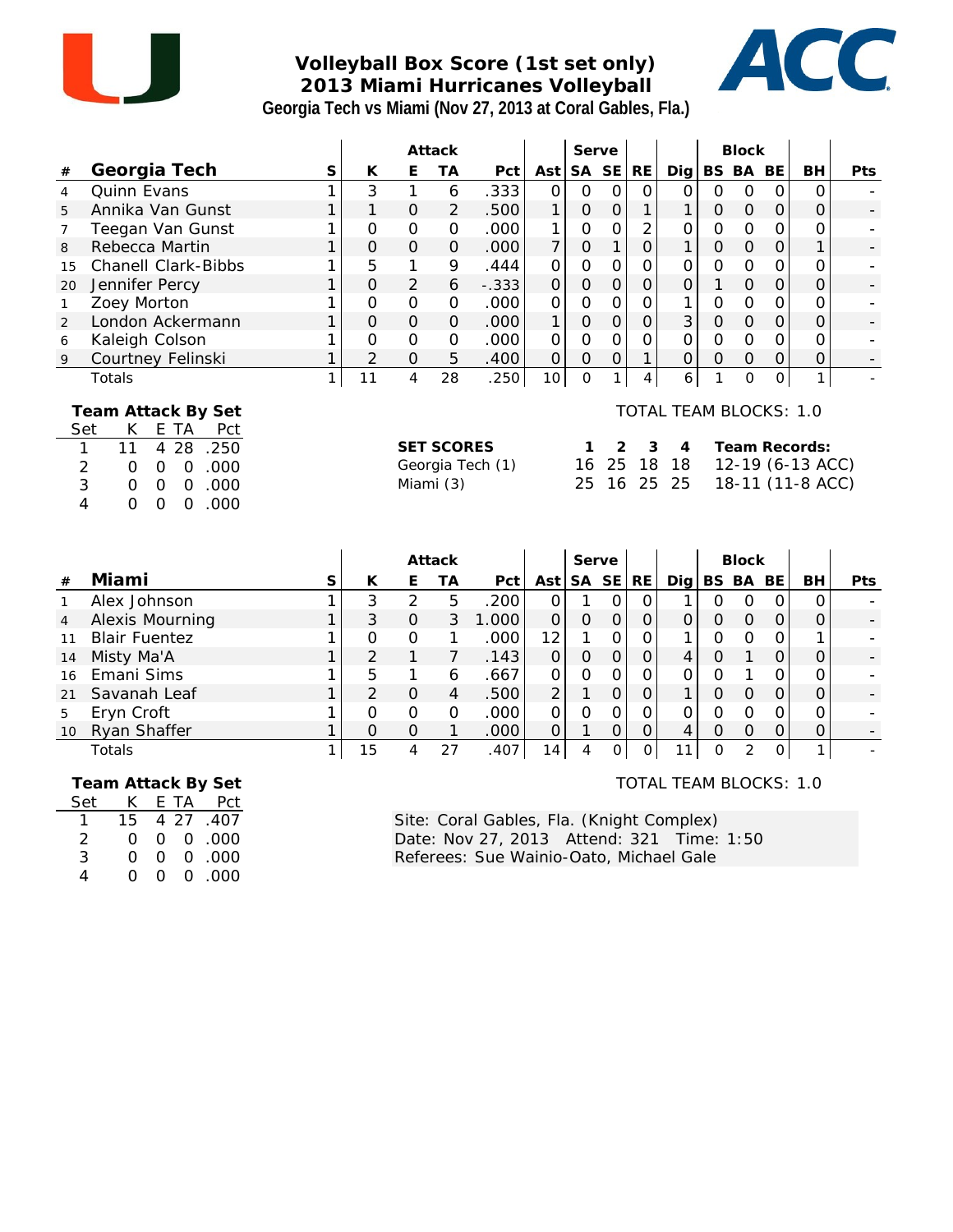

### **Volleyball Box Score (1st set only) 2013 Miami Hurricanes Volleyball Georgia Tech vs Miami (Nov 27, 2013 at Coral Gables, Fla.)**



|                                                   |                                                                                                                                                                                                                                   |              |                |                | Attack                         |                  |                |                | Serve          |                |                                         |                | <b>Block</b>        |                |                                                       |     |
|---------------------------------------------------|-----------------------------------------------------------------------------------------------------------------------------------------------------------------------------------------------------------------------------------|--------------|----------------|----------------|--------------------------------|------------------|----------------|----------------|----------------|----------------|-----------------------------------------|----------------|---------------------|----------------|-------------------------------------------------------|-----|
| #                                                 | Georgia Tech                                                                                                                                                                                                                      | S            | К              | E              | <b>TA</b>                      | Pct              | Ast            | <b>SA</b>      | <b>SE</b>      | RE             | Dig                                     |                | BS BA               | BE             | <b>BH</b>                                             | Pts |
| 4                                                 | Quinn Evans                                                                                                                                                                                                                       | $\mathbf{1}$ | 3              | $\mathbf{1}$   | 6                              | .333             | $\overline{O}$ | $\mathbf 0$    | $\overline{O}$ | $\mathbf{O}$   | $\overline{O}$                          | $\overline{O}$ | $\mathbf 0$         | $\mathbf{O}$   | 0                                                     |     |
| 5                                                 | Annika Van Gunst                                                                                                                                                                                                                  | $\mathbf{1}$ | 1              | $\overline{O}$ | $\overline{2}$                 | .500             | $\mathbf{1}$   | $\mathbf 0$    | $\overline{O}$ | 1              | $\mathbf{1}$                            | $\mathbf{O}$   | $\mathsf O$         | $\mathbf{O}$   | $\overline{O}$                                        |     |
| $\overline{7}$                                    | Teegan Van Gunst                                                                                                                                                                                                                  | 1            | $\Omega$       | $\Omega$       | $\mathbf 0$                    | .000             | 1              | $\overline{O}$ | $\overline{O}$ | $\overline{2}$ | 0                                       | $\overline{O}$ | $\mathbf 0$         | $\mathbf 0$    | $\Omega$                                              |     |
| 8                                                 | Rebecca Martin                                                                                                                                                                                                                    | 1            | 0              | $\Omega$       | $\mathcal{O}$                  | .000             | $\overline{7}$ | $\mathsf O$    | $\mathbf{1}$   | $\overline{O}$ | $\mathbf{1}$                            | $\mathsf O$    | $\mathbf 0$         | $\mathbf 0$    | 1                                                     |     |
| 15                                                | <b>Chanell Clark-Bibbs</b>                                                                                                                                                                                                        | 1            | 5              | 1              | 9                              | .444             | $\Omega$       | $\Omega$       | 0              | $\mathbf 0$    | 0                                       | $\mathbf 0$    | O                   | $\mathbf 0$    | 0                                                     |     |
| 20                                                | Jennifer Percy                                                                                                                                                                                                                    | $\mathbf{1}$ | 0              | $\overline{2}$ | 6                              | $-.333$          | $\overline{O}$ | $\overline{O}$ | $\overline{O}$ | $\mathbf 0$    | O                                       | 1              | $\mathbf 0$         | $\mathbf 0$    | $\overline{O}$                                        |     |
| $\mathbf{1}$                                      | Zoey Morton                                                                                                                                                                                                                       | 1            | $\Omega$       | $\overline{0}$ | $\mathbf 0$                    | .000             | $\Omega$       | $\Omega$       | $\overline{O}$ | $\mathbf 0$    | 1                                       | $\mathcal{O}$  | $\mathbf 0$         | $\mathbf 0$    | 0                                                     |     |
| 2                                                 | London Ackermann                                                                                                                                                                                                                  | $\mathbf{1}$ | $\overline{O}$ | $\overline{O}$ | $\overline{O}$                 | .000             | 1              | $\overline{O}$ | $\overline{O}$ | $\overline{O}$ | 3                                       | $\overline{O}$ | $\overline{O}$      | $\overline{O}$ | $\overline{O}$                                        |     |
| 6                                                 | Kaleigh Colson                                                                                                                                                                                                                    | 1            | $\Omega$       | $\overline{O}$ | $\mathbf 0$                    | .000             | 0              | $\mathbf 0$    | $\overline{O}$ | $\overline{O}$ | $\overline{O}$                          | $\overline{O}$ | $\mathbf 0$         | $\mathbf 0$    | 0                                                     |     |
| 9                                                 | Courtney Felinski                                                                                                                                                                                                                 | $\mathbf{1}$ | $\overline{2}$ | $\mathbf 0$    | 5                              | .400             | $\overline{O}$ | $\overline{O}$ | $\overline{O}$ | $\mathbf{1}$   | $\mathbf 0$                             | $\overline{O}$ | $\mathbf 0$         | $\mathbf 0$    | 0                                                     |     |
|                                                   | Totals                                                                                                                                                                                                                            | 1            | 11             | $\overline{4}$ | 28                             | .250             | 10             | $\Omega$       | $\mathbf{1}$   | $\overline{4}$ | 6                                       | 1              | $\overline{O}$      | $\overline{O}$ | $\mathbf{1}$                                          |     |
| Set<br>1<br>$\overline{2}$<br>3<br>$\overline{4}$ | Team Attack By Set<br>K.<br>E TA<br>Pct<br>28<br>11<br>$\overline{4}$<br>.250<br>.000<br>$\mathbf 0$<br>$\mathbf 0$<br>0<br>.000<br>$\mathbf 0$<br>$\overline{O}$<br>$\mathbf 0$<br>0<br>.000<br>$\overline{O}$<br>$\overline{O}$ |              |                |                | <b>SET SCORES</b><br>Miami (3) | Georgia Tech (1) |                | 1<br>16<br>25  | 2<br>25<br>16  | 3<br>18<br>25  | TOTAL TEAM BLOCKS: 1.0<br>4<br>18<br>25 |                |                     |                | Team Records:<br>12-19 (6-13 ACC)<br>18-11 (11-8 ACC) |     |
|                                                   |                                                                                                                                                                                                                                   |              |                |                | Attack                         |                  |                |                | Serve          |                |                                         |                | <b>Block</b>        |                |                                                       |     |
| #                                                 | Miami                                                                                                                                                                                                                             | S            | К              | Ε              | ТA                             | Pct              | Ast            | <b>SA</b>      | <b>SE</b>      | RE             | Dig                                     |                | BS BA               | BE             | BH                                                    | Pts |
| $\mathbf{1}$                                      | Alex Johnson                                                                                                                                                                                                                      | 1            | 3              | $\overline{2}$ | 5                              | .200             | $\overline{O}$ | 1              | $\overline{0}$ | $\mathbf{O}$   | 1                                       | $\overline{0}$ | $\mathbf{O}$        | $\mathbf{O}$   | $\overline{0}$                                        |     |
| $\overline{4}$                                    | Alexis Mourning                                                                                                                                                                                                                   | $\mathbf{1}$ | 3              | $\overline{O}$ | 3                              | 1.000            | $\overline{O}$ | $\overline{O}$ | $\overline{0}$ | $\mathbf 0$    | 0                                       | $\Omega$       | $\overline{O}$      | $\mathbf{O}$   | $\overline{O}$                                        |     |
| 11                                                | <b>Blair Fuentez</b>                                                                                                                                                                                                              | 1            | 0              | $\mathcal{O}$  | 1                              | .000             | 12             | 1              | $\mathbf 0$    | $\overline{O}$ | 1                                       | $\mathbf 0$    | $\mathbf 0$         | 0              | 1                                                     |     |
| 14                                                | Misty Ma'A                                                                                                                                                                                                                        | 1            | $\overline{2}$ | $\mathbf{1}$   | $\overline{7}$                 | .143             | $\overline{O}$ | $\mathbf 0$    | $\mathbf 0$    | $\mathbf 0$    | $\overline{4}$                          | $\mathsf O$    | $\mathbf{1}$        | $\mathbf 0$    | $\mathbf 0$                                           |     |
| 16                                                | Emani Sims                                                                                                                                                                                                                        | 1            | 5              | 1              | 6                              | .667             | O              | $\mathbf 0$    | $\mathbf 0$    | $\mathbf 0$    | O                                       | $\mathbf 0$    | 1                   | 0              | 0                                                     |     |
| 21                                                | Savanah Leaf                                                                                                                                                                                                                      | 1            | $\overline{2}$ | $\overline{O}$ | $\overline{4}$                 | .500             | $\overline{2}$ | 1              | $\overline{O}$ | $\mathbf 0$    | $\mathbf{1}$                            | $\mathsf O$    | $\mathsf{O}\xspace$ | $\mathbf{O}$   | $\overline{O}$                                        |     |
| 5                                                 | Eryn Croft                                                                                                                                                                                                                        | 1            | $\Omega$       | $\mathbf 0$    | $\mathbf 0$                    | .000             | 0              | $\mathbf 0$    | $\overline{O}$ | $\Omega$       | 0                                       | O              | $\mathbf 0$         | $\mathbf 0$    | $\Omega$                                              |     |
| 10                                                | Ryan Shaffer                                                                                                                                                                                                                      | 1            | $\Omega$       | $\Omega$       | 1                              | .000             | 0              | 1              | $\mathbf 0$    | $\mathbf 0$    | 4                                       | 0              | $\mathsf{O}\xspace$ | $\mathbf 0$    | 0                                                     |     |
|                                                   | Totals                                                                                                                                                                                                                            | 1            | 15             | $\overline{4}$ | 27                             | .407             | 14             | 4              | $\Omega$       | 0              | 11                                      | $\Omega$       | $\overline{2}$      | $\mathbf 0$    | $\mathbf{1}$                                          |     |

 **Team Attack By Set**

| Set | K.       |          | E TA Pct               |
|-----|----------|----------|------------------------|
|     | 15       |          | 4 27 .407              |
| 2   | $^{(1)}$ |          | $0 \quad 0 \quad .000$ |
| 3   | Ω        | O.       | 0.000                  |
|     | $\Omega$ | $\Omega$ | 0.000                  |

TOTAL TEAM BLOCKS: 1.0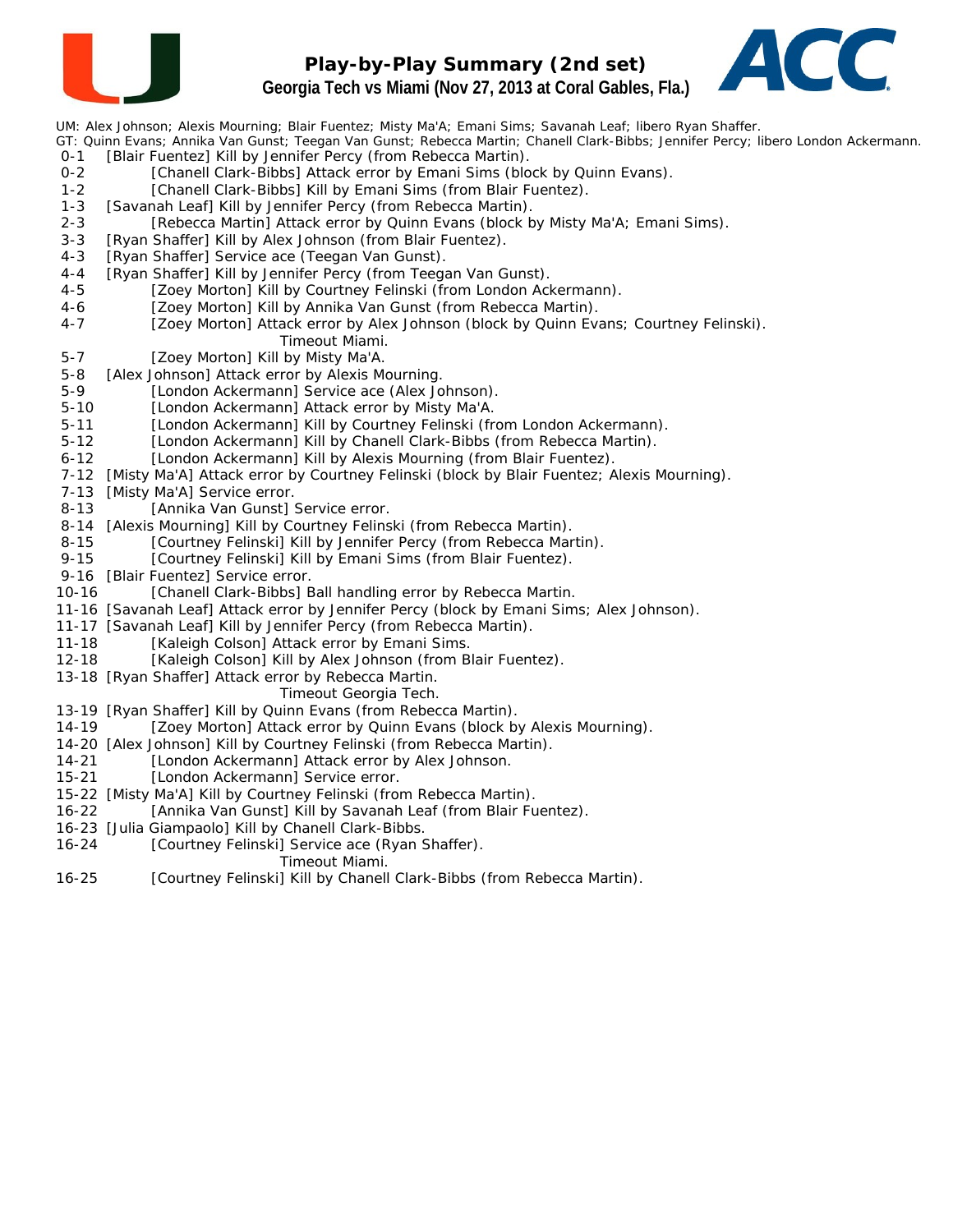

# **Play-by-Play Summary (2nd set) Georgia Tech vs Miami (Nov 27, 2013 at Coral Gables, Fla.)**



UM: Alex Johnson; Alexis Mourning; Blair Fuentez; Misty Ma'A; Emani Sims; Savanah Leaf; libero Ryan Shaffer.

GT: Quinn Evans; Annika Van Gunst; Teegan Van Gunst; Rebecca Martin; Chanell Clark-Bibbs; Jennifer Percy; libero London Ackermann. 0-1 [Blair Fuentez] Kill by Jennifer Percy (from Rebecca Martin).

- 0-2 [Chanell Clark-Bibbs] Attack error by Emani Sims (block by Quinn Evans).
- 1-2 [Chanell Clark-Bibbs] Kill by Emani Sims (from Blair Fuentez).
- 1-3 [Savanah Leaf] Kill by Jennifer Percy (from Rebecca Martin).
- 2-3 [Rebecca Martin] Attack error by Quinn Evans (block by Misty Ma'A; Emani Sims).
- 3-3 [Ryan Shaffer] Kill by Alex Johnson (from Blair Fuentez).
- 4-3 [Ryan Shaffer] Service ace (Teegan Van Gunst).
- 4-4 [Ryan Shaffer] Kill by Jennifer Percy (from Teegan Van Gunst).
- 4-5 [Zoey Morton] Kill by Courtney Felinski (from London Ackermann).
- 4-6 [Zoey Morton] Kill by Annika Van Gunst (from Rebecca Martin).
- 4-7 [Zoey Morton] Attack error by Alex Johnson (block by Quinn Evans; Courtney Felinski). *Timeout Miami.*
- 5-7 [Zoey Morton] Kill by Misty Ma'A.
- 5-8 [Alex Johnson] Attack error by Alexis Mourning.
- 5-9 [London Ackermann] Service ace (Alex Johnson).
- 5-10 [London Ackermann] Attack error by Misty Ma'A.
- 5-11 [London Ackermann] Kill by Courtney Felinski (from London Ackermann).
- 5-12 [London Ackermann] Kill by Chanell Clark-Bibbs (from Rebecca Martin).
- 6-12 [London Ackermann] Kill by Alexis Mourning (from Blair Fuentez).
- 7-12 [Misty Ma'A] Attack error by Courtney Felinski (block by Blair Fuentez; Alexis Mourning).
- 7-13 [Misty Ma'A] Service error.
- 8-13 [Annika Van Gunst] Service error.
- 8-14 [Alexis Mourning] Kill by Courtney Felinski (from Rebecca Martin).
- 8-15 [Courtney Felinski] Kill by Jennifer Percy (from Rebecca Martin).
- 9-15 [Courtney Felinski] Kill by Emani Sims (from Blair Fuentez).
- 9-16 [Blair Fuentez] Service error.
- 10-16 [Chanell Clark-Bibbs] Ball handling error by Rebecca Martin.
- 11-16 [Savanah Leaf] Attack error by Jennifer Percy (block by Emani Sims; Alex Johnson).
- 11-17 [Savanah Leaf] Kill by Jennifer Percy (from Rebecca Martin).
- 11-18 [Kaleigh Colson] Attack error by Emani Sims.
- 12-18 [Kaleigh Colson] Kill by Alex Johnson (from Blair Fuentez).
- 13-18 [Ryan Shaffer] Attack error by Rebecca Martin.
	- *Timeout Georgia Tech.*
- 13-19 [Ryan Shaffer] Kill by Quinn Evans (from Rebecca Martin).
- 14-19 [Zoey Morton] Attack error by Quinn Evans (block by Alexis Mourning).
- 14-20 [Alex Johnson] Kill by Courtney Felinski (from Rebecca Martin).
- 14-21 [London Ackermann] Attack error by Alex Johnson.
- 15-21 [London Ackermann] Service error.
- 15-22 [Misty Ma'A] Kill by Courtney Felinski (from Rebecca Martin).
- 16-22 [Annika Van Gunst] Kill by Savanah Leaf (from Blair Fuentez).
- 16-23 [Julia Giampaolo] Kill by Chanell Clark-Bibbs.
- 16-24 [Courtney Felinski] Service ace (Ryan Shaffer).
	- *Timeout Miami.*
- 16-25 [Courtney Felinski] Kill by Chanell Clark-Bibbs (from Rebecca Martin).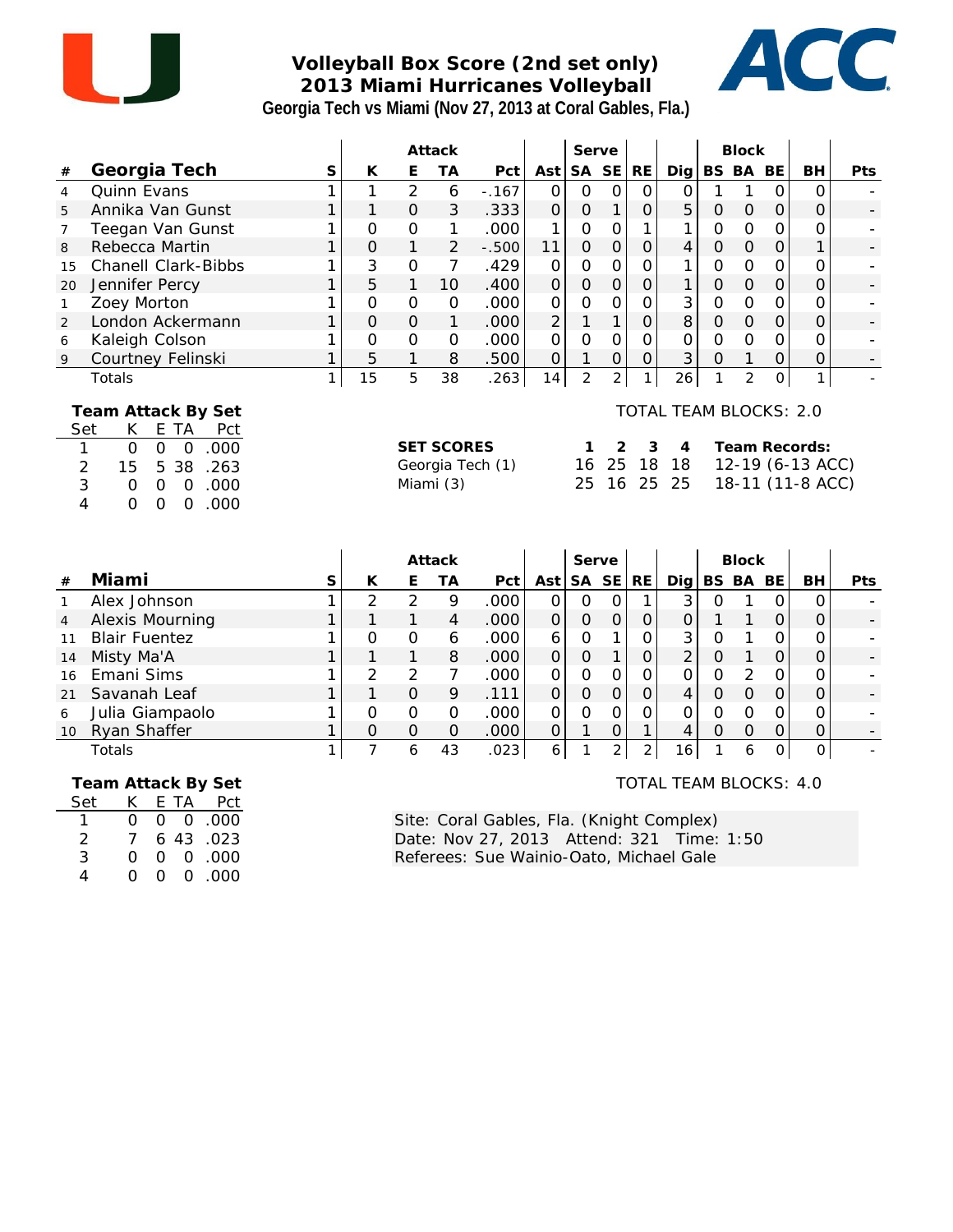

## **Volleyball Box Score (2nd set only) 2013 Miami Hurricanes Volleyball Georgia Tech vs Miami (Nov 27, 2013 at Coral Gables, Fla.)**



|                               |                                                                                                                                                                                                                            |   |                |                | Attack                                   |                  |                     | Serve                  |                     |                |                                                |                | <b>Block</b>   |                     |                                                       |            |
|-------------------------------|----------------------------------------------------------------------------------------------------------------------------------------------------------------------------------------------------------------------------|---|----------------|----------------|------------------------------------------|------------------|---------------------|------------------------|---------------------|----------------|------------------------------------------------|----------------|----------------|---------------------|-------------------------------------------------------|------------|
| $\#$                          | Georgia Tech                                                                                                                                                                                                               | S | K              | E              | <b>TA</b>                                | Pct              | Ast                 |                        | SA SE               | <b>RE</b>      | Dig                                            | <b>BS</b>      | BA BE          |                     | BH                                                    | <b>Pts</b> |
| $\overline{4}$                | <b>Quinn Evans</b>                                                                                                                                                                                                         |   | 1              | $\overline{2}$ | 6                                        | $-.167$          | $\Omega$            | $\mathbf{O}$           | $\Omega$            | $\mathbf{O}$   | $\overline{O}$                                 |                | $\mathbf{1}$   | $\Omega$            | $\Omega$                                              |            |
| 5                             | Annika Van Gunst                                                                                                                                                                                                           | 1 | 1              | $\Omega$       | 3                                        | .333             | $\mathsf{O}\xspace$ | $\mathbf{O}$           |                     | $\mathbf 0$    | 5                                              | $\mathbf{O}$   | $\overline{O}$ | $\mathcal{O}$       | $\Omega$                                              |            |
| 7                             | Teegan Van Gunst                                                                                                                                                                                                           |   | $\Omega$       | $\overline{O}$ | 1                                        | .000             | 1                   | $\Omega$               | O                   |                | 1                                              | $\Omega$       | O              | $\Omega$            | O                                                     |            |
| 8                             | Rebecca Martin                                                                                                                                                                                                             | 1 | 0              | 1              | $\overline{2}$                           | $-.500$          | 11                  | $\mathbf 0$            | $\mathbf 0$         | $\mathbf 0$    | 4                                              | $\mathbf 0$    | $\mathbf 0$    | $\mathsf{O}$        | 1                                                     |            |
| 15                            | <b>Chanell Clark-Bibbs</b>                                                                                                                                                                                                 |   | 3              | $\overline{O}$ | 7                                        | .429             | 0                   | $\overline{O}$         | $\mathbf 0$         | 0              | 1                                              | 0              | O              | $\mathbf 0$         | O                                                     |            |
| 20                            | Jennifer Percy                                                                                                                                                                                                             |   | 5              | 1              | 10                                       | .400             | $\overline{O}$      | $\overline{O}$         | $\overline{O}$      | $\overline{O}$ | 1                                              | $\overline{O}$ | $\overline{O}$ | $\overline{O}$      | $\overline{O}$                                        |            |
| $\mathbf{1}$                  | Zoey Morton                                                                                                                                                                                                                |   | $\overline{O}$ | $\mathbf 0$    | $\mathcal{O}$                            | .000             | $\mathsf O$         | $\mathbf 0$            | $\mathbf 0$         | $\mathbf 0$    | 3                                              | $\overline{O}$ | $\mathbf 0$    | $\mathsf{O}\xspace$ | 0                                                     |            |
| 2                             | London Ackermann                                                                                                                                                                                                           |   | $\Omega$       | $\Omega$       | 1                                        | .000             | $\overline{2}$      | 1                      | 1                   | $\overline{O}$ | 8                                              | $\mathcal{O}$  | $\overline{O}$ | $\mathbf{O}$        | $\Omega$                                              |            |
| 6                             | Kaleigh Colson                                                                                                                                                                                                             |   | O              | $\overline{O}$ | $\Omega$                                 | .000             | $\overline{O}$      | $\overline{0}$         | $\Omega$            | $\Omega$       | $\overline{O}$                                 | $\Omega$       | $\Omega$       | $\Omega$            | O                                                     |            |
| 9                             | Courtney Felinski                                                                                                                                                                                                          |   | 5              | 1              | 8                                        | .500             | $\mathsf O$         | 1                      | $\mathsf{O}\xspace$ | $\overline{O}$ | 3                                              | $\overline{O}$ | 1              | $\mathcal{O}$       | $\Omega$                                              |            |
|                               | Totals                                                                                                                                                                                                                     |   | 15             | 5              | 38                                       | .263             | 14                  | $\overline{2}$         | $\overline{2}$      | 1              | 26                                             | 1              | $\overline{2}$ | 0                   | 1                                                     |            |
| 1<br>$\overline{2}$<br>3<br>4 | Team Attack By Set<br>K.<br>E TA<br>Set<br>Pct<br>$\mathbf{O}$<br>$\Omega$<br>$\overline{O}$<br>.000<br>38<br>.263<br>15<br>5<br>.000<br>$\Omega$<br>$\Omega$<br>$\mathcal{O}$<br>.000<br>$\Omega$<br>$\Omega$<br>$\Omega$ |   |                |                | <b>SET SCORES</b><br>Miami (3)<br>Attack | Georgia Tech (1) |                     | 1<br>16<br>25<br>Serve | 2<br>25<br>16       | 3<br>18<br>25  | <b>TOTAL TEAM BLOCKS: 2.0</b><br>4<br>18<br>25 |                | <b>Block</b>   |                     | Team Records:<br>12-19 (6-13 ACC)<br>18-11 (11-8 ACC) |            |
| $\#$                          | Miami                                                                                                                                                                                                                      | S | K              | E              | <b>TA</b>                                | Pct              | Ast                 |                        | SA SE               | <b>RE</b>      | $Di$ g                                         | BS BA BE       |                |                     | BH                                                    | Pts        |
| $\mathbf{1}$                  | Alex Johnson                                                                                                                                                                                                               |   | $\overline{2}$ | $\overline{2}$ | 9                                        | .000             | $\overline{O}$      | $\mathbf{O}$           | $\overline{O}$      | $\mathbf{1}$   | 3                                              | $\mathbf{O}$   | $\mathbf{1}$   | $\mathbf 0$         | $\Omega$                                              |            |
| $\overline{4}$                | Alexis Mourning                                                                                                                                                                                                            |   | 1              | $\mathbf{1}$   | $\overline{4}$                           | .000             | $\mathsf{O}\xspace$ | $\mathbf{O}$           | $\mathsf{O}\xspace$ | $\mathbf{O}$   | $\mathsf{O}$                                   | 1              | 1              | $\mathcal{O}$       | $\Omega$                                              |            |
| 11                            | <b>Blair Fuentez</b>                                                                                                                                                                                                       |   | $\Omega$       | $\overline{O}$ | 6                                        | .000             | 6                   | $\mathcal{O}$          | 1                   | $\Omega$       | 3                                              | $\mathcal{O}$  | 1              | 0                   | O                                                     |            |
| 14                            | Misty Ma'A                                                                                                                                                                                                                 |   | 1              | 1              | 8                                        | .000             | 0                   | $\overline{0}$         | 1                   | 0              | $\overline{2}$                                 | 0              | 1              | $\overline{O}$      | O                                                     |            |

| $\overline{4}$ | Alexis Mourning      |  | 4  | .OOC |   |  |                 |  |          | - |
|----------------|----------------------|--|----|------|---|--|-----------------|--|----------|---|
| 11             | <b>Blair Fuentez</b> |  | n  | .000 |   |  |                 |  | 0        | - |
| 14             | Misty Ma'A           |  | 8  | .000 |   |  |                 |  | 0        | - |
| 16             | Emani Sims           |  |    | .000 |   |  |                 |  | $\Omega$ |   |
| 21             | Savanah Leaf         |  |    | 111  |   |  |                 |  | 0        |   |
| 6              | Julia Giampaolo      |  |    | .000 |   |  |                 |  | 0        |   |
| 10             | Ryan Shaffer         |  | 0  | .000 |   |  |                 |  |          | - |
|                | Totals               |  | 43 | 023  | 6 |  | 16 <sub>1</sub> |  |          |   |
|                |                      |  |    |      |   |  |                 |  |          |   |

 **Team Attack By Set**

| Set | K.       |    | E TA Pct              |
|-----|----------|----|-----------------------|
|     | ∩.       |    | 000.000               |
| 2   | 7        |    | 6 43 .023             |
| 3   | Ω        |    | $0 \quad 0 \quad 000$ |
| 4   | $\Omega$ | O. | 0.000                 |

TOTAL TEAM BLOCKS: 4.0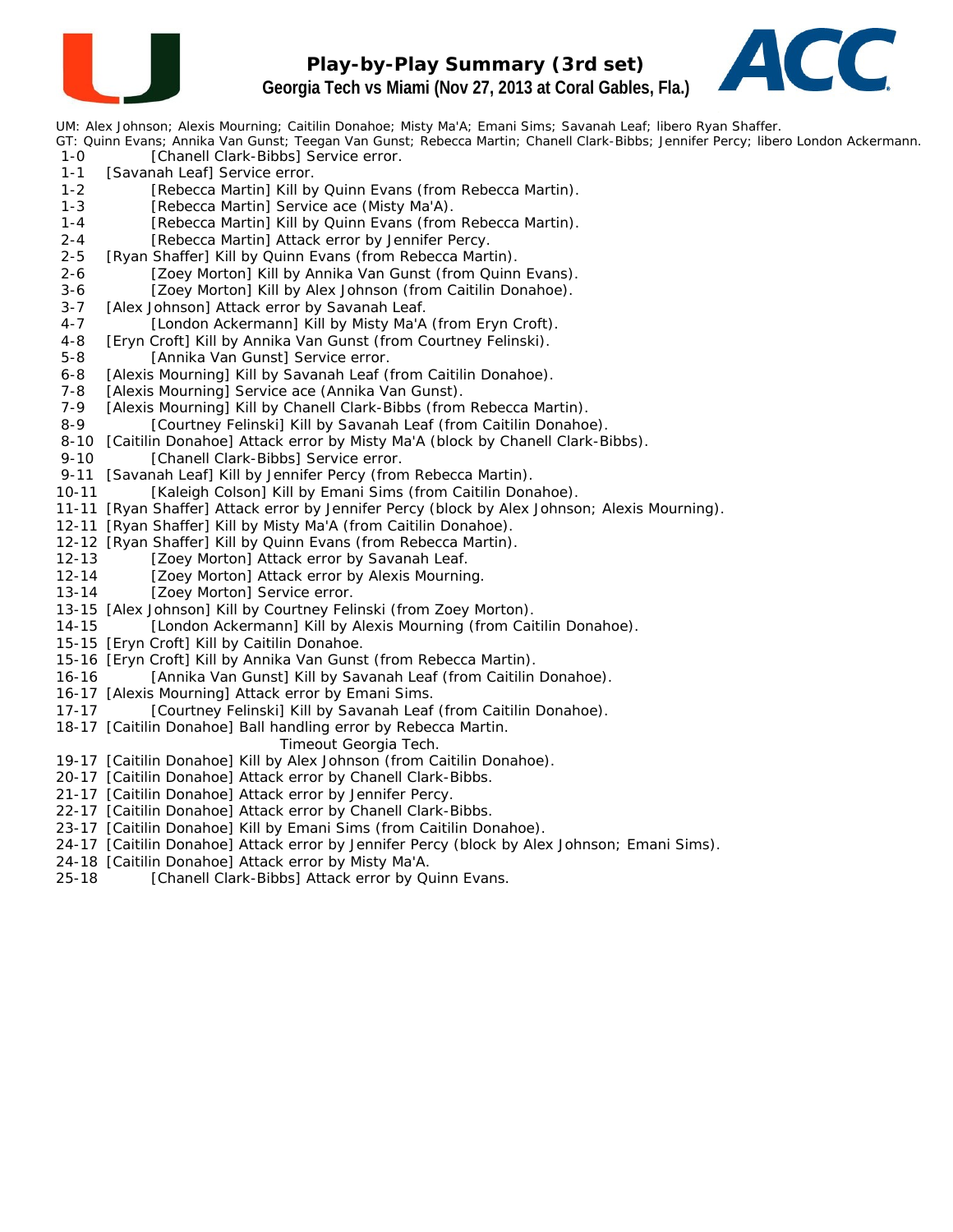

#### **Play-by-Play Summary (3rd set) Georgia Tech vs Miami (Nov 27, 2013 at Coral Gables, Fla.)**



UM: Alex Johnson; Alexis Mourning; Caitilin Donahoe; Misty Ma'A; Emani Sims; Savanah Leaf; libero Ryan Shaffer.

- GT: Quinn Evans; Annika Van Gunst; Teegan Van Gunst; Rebecca Martin; Chanell Clark-Bibbs; Jennifer Percy; libero London Ackermann. 1-0 [Chanell Clark-Bibbs] Service error.
- 1-1 [Savanah Leaf] Service error.
- 1-2 [Rebecca Martin] Kill by Quinn Evans (from Rebecca Martin).
- 1-3 [Rebecca Martin] Service ace (Misty Ma'A).
- 1-4 [Rebecca Martin] Kill by Quinn Evans (from Rebecca Martin).
- 2-4 [Rebecca Martin] Attack error by Jennifer Percy.
- 2-5 [Ryan Shaffer] Kill by Quinn Evans (from Rebecca Martin).
- 2-6 [Zoey Morton] Kill by Annika Van Gunst (from Quinn Evans).
- 3-6 [Zoey Morton] Kill by Alex Johnson (from Caitilin Donahoe).
- 3-7 [Alex Johnson] Attack error by Savanah Leaf.
- 4-7 [London Ackermann] Kill by Misty Ma'A (from Eryn Croft).
- 4-8 [Eryn Croft] Kill by Annika Van Gunst (from Courtney Felinski).
- 5-8 [Annika Van Gunst] Service error.
- 6-8 [Alexis Mourning] Kill by Savanah Leaf (from Caitilin Donahoe).
- 7-8 [Alexis Mourning] Service ace (Annika Van Gunst).
- 7-9 [Alexis Mourning] Kill by Chanell Clark-Bibbs (from Rebecca Martin).<br>8-9 [Courtney Felinski] Kill by Savanah Leaf (from Caitilin Donaho
- [Courtney Felinski] Kill by Savanah Leaf (from Caitilin Donahoe).
- 8-10 [Caitilin Donahoe] Attack error by Misty Ma'A (block by Chanell Clark-Bibbs).
- 9-10 [Chanell Clark-Bibbs] Service error.
- 9-11 [Savanah Leaf] Kill by Jennifer Percy (from Rebecca Martin).
- 10-11 [Kaleigh Colson] Kill by Emani Sims (from Caitilin Donahoe).
- 11-11 [Ryan Shaffer] Attack error by Jennifer Percy (block by Alex Johnson; Alexis Mourning).
- 12-11 [Ryan Shaffer] Kill by Misty Ma'A (from Caitilin Donahoe).
- 12-12 [Ryan Shaffer] Kill by Quinn Evans (from Rebecca Martin).
- 12-13 [Zoey Morton] Attack error by Savanah Leaf.
- 12-14 [Zoey Morton] Attack error by Alexis Mourning.
- 13-14 [Zoey Morton] Service error.
- 13-15 [Alex Johnson] Kill by Courtney Felinski (from Zoey Morton).
- 14-15 [London Ackermann] Kill by Alexis Mourning (from Caitilin Donahoe).
- 15-15 [Eryn Croft] Kill by Caitilin Donahoe.
- 15-16 [Eryn Croft] Kill by Annika Van Gunst (from Rebecca Martin).
- 16-16 [Annika Van Gunst] Kill by Savanah Leaf (from Caitilin Donahoe).
- 16-17 [Alexis Mourning] Attack error by Emani Sims.
- 17-17 [Courtney Felinski] Kill by Savanah Leaf (from Caitilin Donahoe).
- 18-17 [Caitilin Donahoe] Ball handling error by Rebecca Martin.

#### *Timeout Georgia Tech.*

- 19-17 [Caitilin Donahoe] Kill by Alex Johnson (from Caitilin Donahoe).
- 20-17 [Caitilin Donahoe] Attack error by Chanell Clark-Bibbs.
- 21-17 [Caitilin Donahoe] Attack error by Jennifer Percy.
- 22-17 [Caitilin Donahoe] Attack error by Chanell Clark-Bibbs.
- 23-17 [Caitilin Donahoe] Kill by Emani Sims (from Caitilin Donahoe).
- 24-17 [Caitilin Donahoe] Attack error by Jennifer Percy (block by Alex Johnson; Emani Sims).
- 24-18 [Caitilin Donahoe] Attack error by Misty Ma'A.
- 25-18 [Chanell Clark-Bibbs] Attack error by Quinn Evans.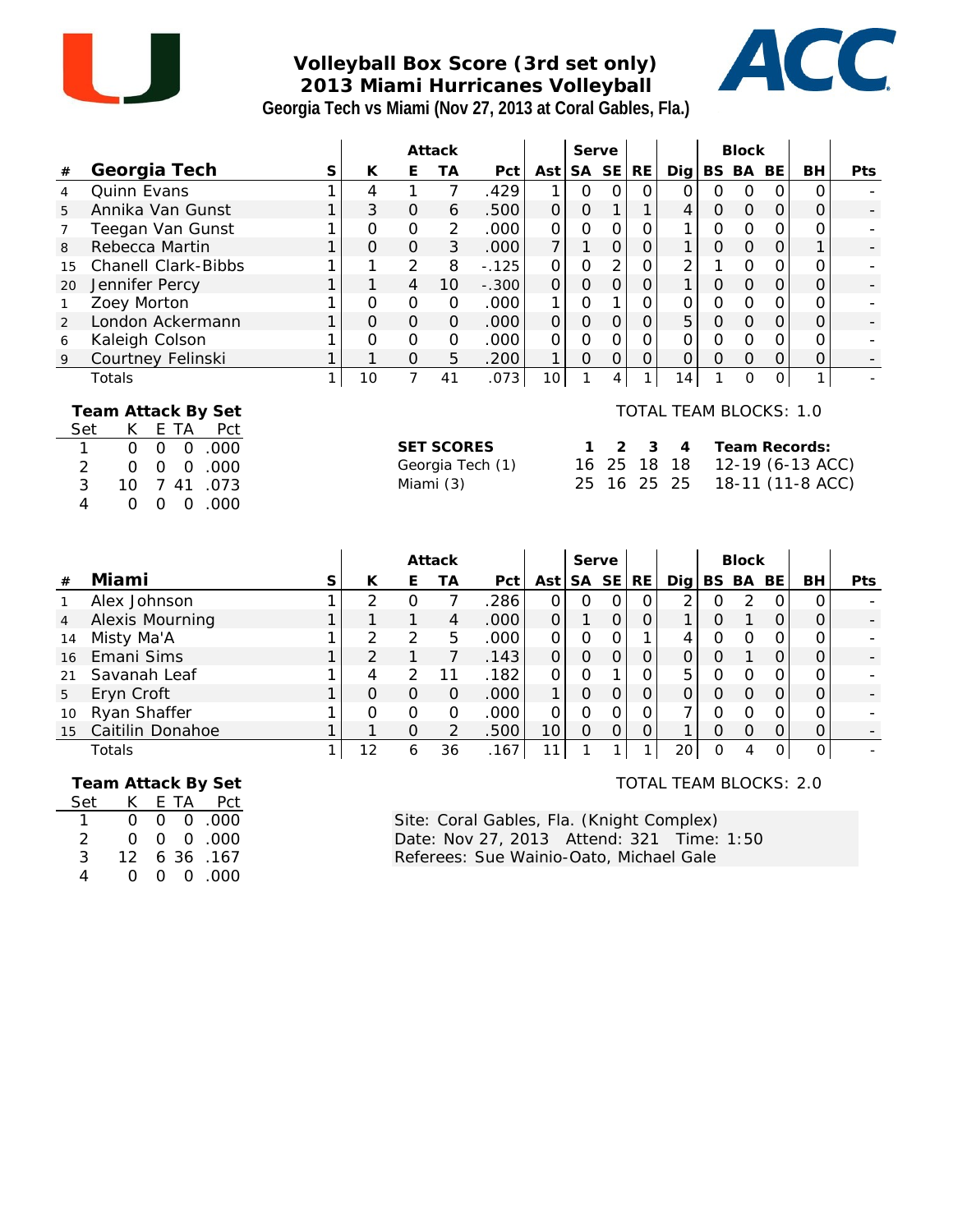

## **Volleyball Box Score (3rd set only) 2013 Miami Hurricanes Volleyball Georgia Tech vs Miami (Nov 27, 2013 at Coral Gables, Fla.)**



|                                      |                                                                                                                                                                                                                                 |   |                |                | Attack                         |                  |                | Serve          |                |                |                                                             |                     | <b>Block</b>        |                |                                                       |     |
|--------------------------------------|---------------------------------------------------------------------------------------------------------------------------------------------------------------------------------------------------------------------------------|---|----------------|----------------|--------------------------------|------------------|----------------|----------------|----------------|----------------|-------------------------------------------------------------|---------------------|---------------------|----------------|-------------------------------------------------------|-----|
| $\#$                                 | Georgia Tech                                                                                                                                                                                                                    | S | K              | E              | <b>TA</b>                      | Pct              | Ast            | <b>SA</b>      | SE             | <b>RE</b>      | Dig                                                         | <b>BS</b>           | BA                  | BE             | <b>BH</b>                                             | Pts |
| $\overline{4}$                       | Quinn Evans                                                                                                                                                                                                                     |   | 4              | 1              | $\overline{7}$                 | .429             | 1              | $\mathbf 0$    | 0              | $\mathbf 0$    | $\overline{O}$                                              | $\mathbf 0$         | $\mathcal{O}$       | $\mathbf 0$    | $\mathbf 0$                                           |     |
| 5                                    | Annika Van Gunst                                                                                                                                                                                                                |   | 3              | $\Omega$       | 6                              | .500             | $\mathsf O$    | $\mathbf{O}$   | 1              | 1              | 4                                                           | $\mathsf{O}\xspace$ | $\mathsf{O}\xspace$ | $\overline{O}$ | $\mathsf O$                                           |     |
| 7                                    | Teegan Van Gunst                                                                                                                                                                                                                |   | $\Omega$       | $\Omega$       | 2                              | .000             | $\Omega$       | $\mathbf 0$    | $\mathbf 0$    | $\mathbf 0$    |                                                             | O                   | 0                   | $\Omega$       | $\Omega$                                              |     |
| 8                                    | Rebecca Martin                                                                                                                                                                                                                  |   | $\Omega$       | $\Omega$       | 3                              | .000             | $\overline{7}$ | 1              | $\mathcal{O}$  | $\mathsf O$    | 1                                                           | $\mathsf{O}\xspace$ | $\mathbf 0$         | $\mathbf 0$    | 1                                                     |     |
| 15                                   | <b>Chanell Clark-Bibbs</b>                                                                                                                                                                                                      |   | 1              | 2              | 8                              | $-.125$          | 0              | $\mathbf 0$    | $\overline{2}$ | $\overline{O}$ | $\overline{2}$                                              |                     | O                   | $\mathcal{O}$  | $\Omega$                                              |     |
| 20                                   | Jennifer Percy                                                                                                                                                                                                                  |   | 1              | 4              | 10                             | $-.300$          | $\overline{O}$ | $\overline{O}$ | $\overline{O}$ | $\overline{O}$ | $\mathbf{1}$                                                | $\overline{O}$      | $\overline{O}$      | $\overline{O}$ | $\overline{O}$                                        |     |
| $\mathbf{1}$                         | Zoey Morton                                                                                                                                                                                                                     |   | 0              | $\mathbf 0$    | $\mathbf{O}$                   | .000             | 1              | 0              | $\mathbf{1}$   | $\overline{O}$ | 0                                                           | O                   | $\mathbf 0$         | 0              | $\Omega$                                              |     |
| 2                                    | London Ackermann                                                                                                                                                                                                                |   | $\overline{O}$ | $\overline{O}$ | $\Omega$                       | .000             | $\overline{O}$ | $\mathbf 0$    | $\overline{O}$ | $\overline{O}$ | 5                                                           | $\overline{O}$      | $\overline{O}$      | $\overline{O}$ | $\mathbf 0$                                           |     |
| 6                                    | Kaleigh Colson                                                                                                                                                                                                                  |   | 0              | $\mathbf 0$    | $\overline{O}$                 | .000             | 0              | $\mathbf 0$    | $\overline{O}$ | $\overline{O}$ | 0                                                           | $\mathbf 0$         | $\mathbf 0$         | $\mathbf 0$    | $\mathbf 0$                                           |     |
| 9                                    | Courtney Felinski                                                                                                                                                                                                               |   |                | $\circ$        | 5                              | .200             | 1              | $\overline{O}$ | 0              | 0              | 0                                                           | $\Omega$            | $\mathsf{O}\xspace$ | $\mathbf 0$    | 0                                                     |     |
|                                      | Totals                                                                                                                                                                                                                          | 1 | 10             | $\overline{7}$ | 41                             | .073             | 10             | 1              | 4              |                | 14                                                          | 1                   | $\overline{O}$      | $\overline{O}$ | 1                                                     |     |
| Set<br>1<br>$\overline{2}$<br>3<br>4 | Team Attack By Set<br>K.<br>E TA<br>Pct<br>$\overline{O}$<br>$\overline{O}$<br>.000<br>$\mathbf{O}$<br>.000<br>$\Omega$<br>$\mathbf 0$<br>$\mathcal{O}$<br>.073<br>10<br>41<br>7<br>.000<br>$\Omega$<br>$\Omega$<br>$\mathbf 0$ |   |                |                | <b>SET SCORES</b><br>Miami (3) | Georgia Tech (1) |                | 1<br>16<br>25  | 2<br>25<br>16  | 3<br>18<br>25  | <b>TOTAL TEAM BLOCKS: 1.0</b><br>$\overline{A}$<br>18<br>25 |                     |                     |                | Team Records:<br>12-19 (6-13 ACC)<br>18-11 (11-8 ACC) |     |
|                                      |                                                                                                                                                                                                                                 |   |                |                | Attack                         |                  |                | Serve          |                |                |                                                             |                     | <b>Block</b>        |                |                                                       |     |
| #                                    | Miami                                                                                                                                                                                                                           | S | K              | Ε              | ТA                             | Pct              | Ast            |                | SA SE          | <b>RE</b>      | $\bigcup$                                                   |                     |                     | BS BA BE       | <b>BH</b>                                             | Pts |
| 1                                    | Alex Johnson                                                                                                                                                                                                                    |   | 2              | $\overline{O}$ | $\overline{7}$                 | .286             | $\mathbf 0$    | 0              | 0              | 0              | 2                                                           | 0                   | $\overline{2}$      | $\Omega$       | $\Omega$                                              |     |
| 4                                    | <b>Alexis Mourning</b>                                                                                                                                                                                                          |   | 1              | 1              | $\overline{4}$                 | .000             | $\mathsf O$    | 1              | $\mathbf 0$    | $\mathsf{O}$   | $\mathbf{1}$                                                | $\mathsf{O}\xspace$ | $\mathbf{1}$        | $\mathbf 0$    | $\mathbf{O}$                                          |     |
| 14                                   | Misty Ma'A                                                                                                                                                                                                                      |   | 2              | $\overline{2}$ | 5                              | .000             | $\mathbf 0$    | $\mathbf 0$    | $\overline{O}$ | 1              | 4                                                           | $\mathbf 0$         | $\overline{O}$      | $\mathcal{O}$  | O                                                     |     |
| 16                                   | Emani Sims                                                                                                                                                                                                                      |   | $\overline{2}$ | 1              | $\overline{7}$                 | .143             | 0              | 0              | $\Omega$       | $\overline{O}$ | 0                                                           | 0                   | 1                   | 0              | $\overline{O}$                                        |     |
|                                      |                                                                                                                                                                                                                                 |   |                |                |                                |                  |                |                |                |                |                                                             |                     |                     |                |                                                       |     |

| 21             | Savanah Leaf          |  |    | 182  |  |  | г. |  |   |                          |
|----------------|-----------------------|--|----|------|--|--|----|--|---|--------------------------|
| 5 <sup>5</sup> | Eryn Croft            |  |    | OOC  |  |  |    |  |   | $\overline{\phantom{0}}$ |
| 10             | Ryan Shaffer          |  |    | 000  |  |  |    |  |   |                          |
| 15             | Caitilin i<br>Donahoe |  |    | .500 |  |  |    |  |   | -                        |
|                | Totals                |  | 36 | 167  |  |  | 20 |  | U |                          |

 **Team Attack By Set**

| Set | K.  |  | E TA Pct             |
|-----|-----|--|----------------------|
|     | O.  |  | $0\quad 0\quad .000$ |
| 2   | 0.  |  | 00.000               |
| 3   | 12. |  | 6 36 .167            |
|     | O.  |  | 0 0 0 0 0 0          |

TOTAL TEAM BLOCKS: 2.0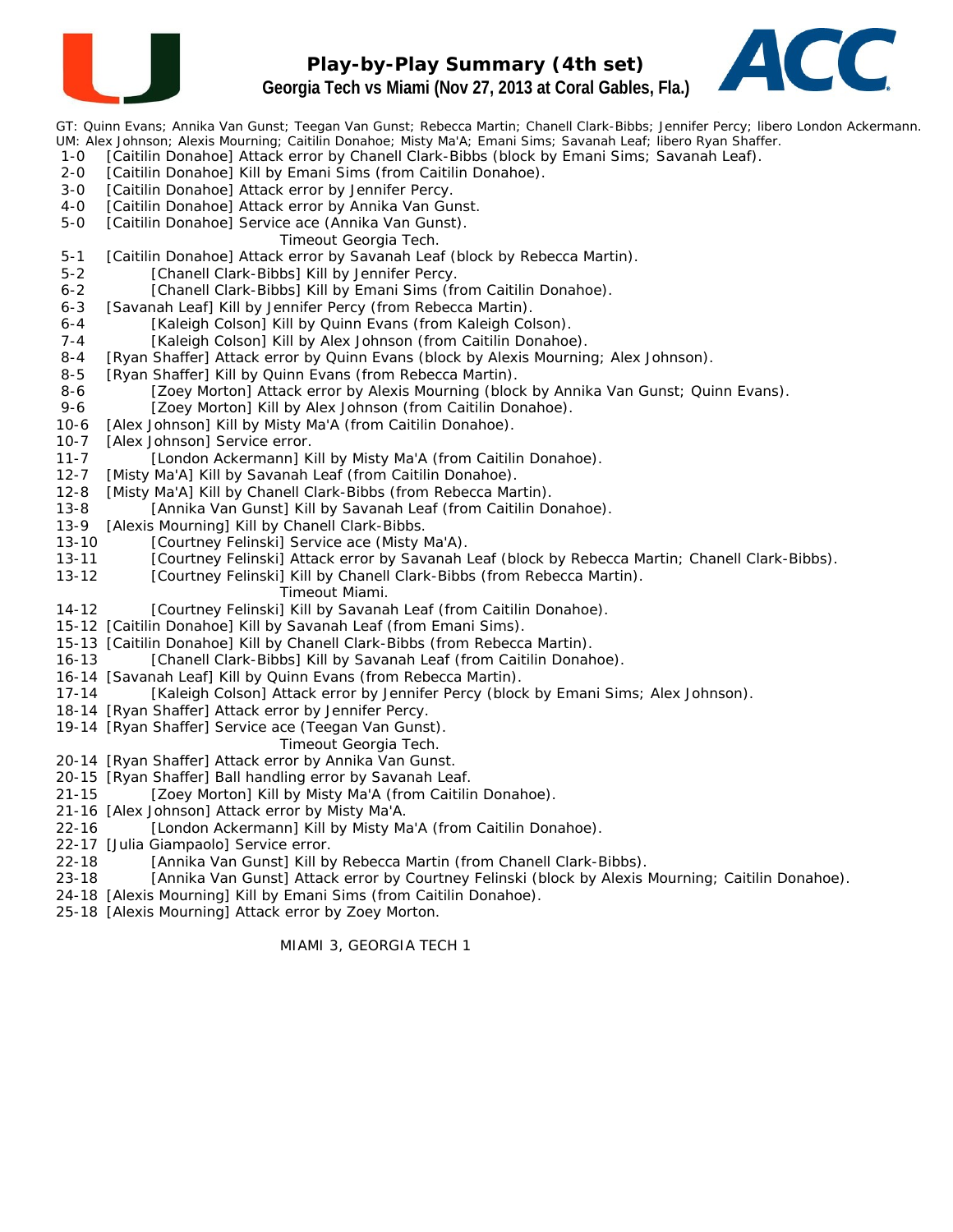

#### **Play-by-Play Summary (4th set) Georgia Tech vs Miami (Nov 27, 2013 at Coral Gables, Fla.)**



GT: Quinn Evans; Annika Van Gunst; Teegan Van Gunst; Rebecca Martin; Chanell Clark-Bibbs; Jennifer Percy; libero London Ackermann. UM: Alex Johnson; Alexis Mourning; Caitilin Donahoe; Misty Ma'A; Emani Sims; Savanah Leaf; libero Ryan Shaffer.

- 1-0 [Caitilin Donahoe] Attack error by Chanell Clark-Bibbs (block by Emani Sims; Savanah Leaf).
- 2-0 [Caitilin Donahoe] Kill by Emani Sims (from Caitilin Donahoe).
- 3-0 [Caitilin Donahoe] Attack error by Jennifer Percy.
- 4-0 [Caitilin Donahoe] Attack error by Annika Van Gunst.
- 5-0 [Caitilin Donahoe] Service ace (Annika Van Gunst).
	- *Timeout Georgia Tech.*
- 5-1 [Caitilin Donahoe] Attack error by Savanah Leaf (block by Rebecca Martin).
- 5-2 [Chanell Clark-Bibbs] Kill by Jennifer Percy.
- 6-2 [Chanell Clark-Bibbs] Kill by Emani Sims (from Caitilin Donahoe).
- 6-3 [Savanah Leaf] Kill by Jennifer Percy (from Rebecca Martin).
- 6-4 [Kaleigh Colson] Kill by Quinn Evans (from Kaleigh Colson).
- 7-4 [Kaleigh Colson] Kill by Alex Johnson (from Caitilin Donahoe).
- 8-4 [Ryan Shaffer] Attack error by Quinn Evans (block by Alexis Mourning; Alex Johnson).
- 8-5 [Ryan Shaffer] Kill by Quinn Evans (from Rebecca Martin).
- 8-6 [Zoey Morton] Attack error by Alexis Mourning (block by Annika Van Gunst; Quinn Evans).
- 9-6 [Zoey Morton] Kill by Alex Johnson (from Caitilin Donahoe).
- 10-6 [Alex Johnson] Kill by Misty Ma'A (from Caitilin Donahoe).
- 10-7 [Alex Johnson] Service error.
- 11-7 [London Ackermann] Kill by Misty Ma'A (from Caitilin Donahoe).
- 12-7 [Misty Ma'A] Kill by Savanah Leaf (from Caitilin Donahoe).
- 12-8 [Misty Ma'A] Kill by Chanell Clark-Bibbs (from Rebecca Martin).
- 13-8 [Annika Van Gunst] Kill by Savanah Leaf (from Caitilin Donahoe).
- 13-9 [Alexis Mourning] Kill by Chanell Clark-Bibbs.
- 13-10 [Courtney Felinski] Service ace (Misty Ma'A).
- 13-11 [Courtney Felinski] Attack error by Savanah Leaf (block by Rebecca Martin; Chanell Clark-Bibbs).
- 13-12 [Courtney Felinski] Kill by Chanell Clark-Bibbs (from Rebecca Martin).
	- *Timeout Miami.*
- 14-12 [Courtney Felinski] Kill by Savanah Leaf (from Caitilin Donahoe).
- 15-12 [Caitilin Donahoe] Kill by Savanah Leaf (from Emani Sims).
- 15-13 [Caitilin Donahoe] Kill by Chanell Clark-Bibbs (from Rebecca Martin).
- 16-13 [Chanell Clark-Bibbs] Kill by Savanah Leaf (from Caitilin Donahoe).
- 16-14 [Savanah Leaf] Kill by Quinn Evans (from Rebecca Martin).
- 17-14 [Kaleigh Colson] Attack error by Jennifer Percy (block by Emani Sims; Alex Johnson).
- 18-14 [Ryan Shaffer] Attack error by Jennifer Percy.
- 19-14 [Ryan Shaffer] Service ace (Teegan Van Gunst).
	- *Timeout Georgia Tech.*
- 20-14 [Ryan Shaffer] Attack error by Annika Van Gunst.
- 20-15 [Ryan Shaffer] Ball handling error by Savanah Leaf.
- 21-15 [Zoey Morton] Kill by Misty Ma'A (from Caitilin Donahoe).
- 21-16 [Alex Johnson] Attack error by Misty Ma'A.
- 22-16 [London Ackermann] Kill by Misty Ma'A (from Caitilin Donahoe).
- 22-17 [Julia Giampaolo] Service error.
- 22-18 [Annika Van Gunst] Kill by Rebecca Martin (from Chanell Clark-Bibbs).
- 23-18 [Annika Van Gunst] Attack error by Courtney Felinski (block by Alexis Mourning; Caitilin Donahoe).
- 24-18 [Alexis Mourning] Kill by Emani Sims (from Caitilin Donahoe).
- 25-18 [Alexis Mourning] Attack error by Zoey Morton.

MIAMI 3, GEORGIA TECH 1